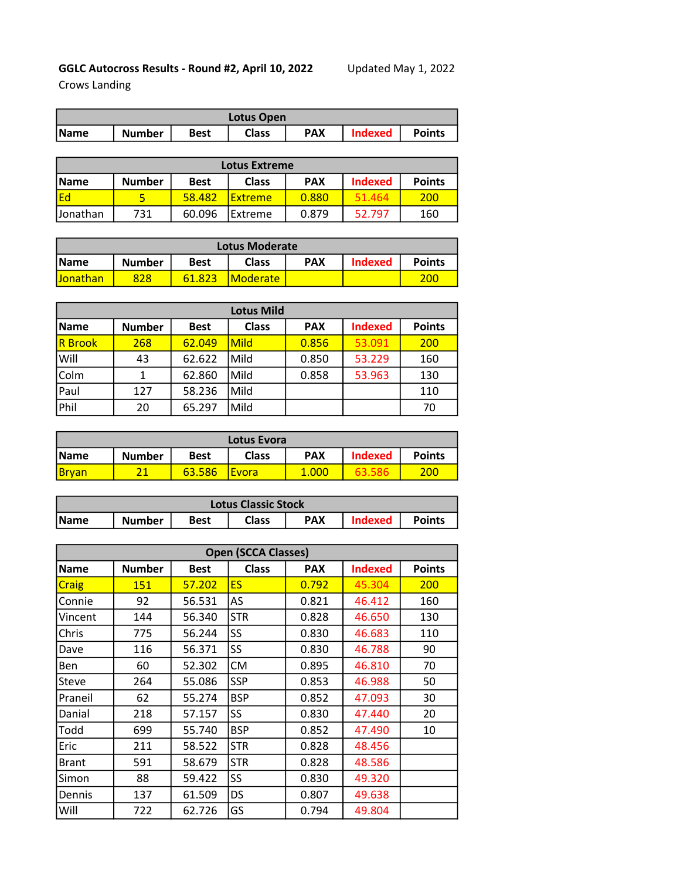## GGLC Autocross Results - Round #2, April 10, 2022 Updated May 1, 2022

Crows Landing

| Lotus Open  |               |             |       |            |         |        |  |
|-------------|---------------|-------------|-------|------------|---------|--------|--|
| <b>Name</b> | <b>Number</b> | <b>Best</b> | Class | <b>PAX</b> | Indexed | Points |  |

| <b>Lotus Extreme</b>                                                                         |     |        |                |       |        |               |  |
|----------------------------------------------------------------------------------------------|-----|--------|----------------|-------|--------|---------------|--|
| <b>Indexed</b><br><b>PAX</b><br><b>Class</b><br><b>IName</b><br><b>Best</b><br><b>Number</b> |     |        |                |       |        | <b>Points</b> |  |
| Ed                                                                                           |     | 58.482 | <b>Extreme</b> | 0.880 | 51.464 | 200           |  |
| IJonathan                                                                                    | 731 | 60.096 | lExtreme       | 0.879 | 52.797 | 160           |  |

| <b>Lotus Moderate</b> |               |             |                         |            |                |               |  |
|-----------------------|---------------|-------------|-------------------------|------------|----------------|---------------|--|
| <i><b>Name</b></i>    | <b>Number</b> | <b>Best</b> | <b>Class</b>            | <b>PAX</b> | <b>Indexed</b> | <b>Points</b> |  |
| <b>Jonathan</b>       | 828           | 61.823      | <i><b>IModerate</b></i> |            |                | 200           |  |

| <b>Lotus Mild</b> |               |             |              |            |                |               |  |  |
|-------------------|---------------|-------------|--------------|------------|----------------|---------------|--|--|
| <b>Name</b>       | <b>Number</b> | <b>Best</b> | <b>Class</b> | <b>PAX</b> | <b>Indexed</b> | <b>Points</b> |  |  |
| <b>R</b> Brook    | 268           | 62.049      | Mild         | 0.856      | 53.091         | 200           |  |  |
| Will              | 43            | 62.622      | Mild         | 0.850      | 53.229         | 160           |  |  |
| Colm              |               | 62.860      | Mild         | 0.858      | 53.963         | 130           |  |  |
| Paul              | 127           | 58.236      | Mild         |            |                | 110           |  |  |
| Phil              | 20            | 65.297      | Mild         |            |                | 70            |  |  |

| Lotus Evora  |               |             |               |            |                |                  |  |
|--------------|---------------|-------------|---------------|------------|----------------|------------------|--|
| <b>IName</b> | <b>Number</b> | <b>Best</b> | <b>Class</b>  | <b>PAX</b> | <b>Indexed</b> | <b>Points</b>    |  |
| <b>Brvan</b> | າ1            | 63.586      | <b>IEvora</b> | 1.000      |                | 200 <sub>1</sub> |  |

| <b>Lotus Classic Stock</b> |               |      |       |            |                |               |  |
|----------------------------|---------------|------|-------|------------|----------------|---------------|--|
| <b>Name</b>                | <b>Number</b> | Best | Class | <b>PAX</b> | <b>Indexed</b> | <b>Points</b> |  |

| <b>Open (SCCA Classes)</b> |               |             |              |            |                |               |  |  |  |
|----------------------------|---------------|-------------|--------------|------------|----------------|---------------|--|--|--|
| <b>Name</b>                | <b>Number</b> | <b>Best</b> | <b>Class</b> | <b>PAX</b> | <b>Indexed</b> | <b>Points</b> |  |  |  |
| Craig                      | 151           | 57.202      | <b>ES</b>    | 0.792      | 45.304         | <b>200</b>    |  |  |  |
| Connie                     | 92            | 56.531      | AS           | 0.821      | 46.412         | 160           |  |  |  |
| Vincent                    | 144           | 56.340      | <b>STR</b>   | 0.828      | 46.650         | 130           |  |  |  |
| Chris                      | 775           | 56.244      | SS           | 0.830      | 46.683         | 110           |  |  |  |
| Dave                       | 116           | 56.371      | SS           | 0.830      | 46.788         | 90            |  |  |  |
| Ben                        | 60            | 52.302      | CM           | 0.895      | 46.810         | 70            |  |  |  |
| Steve                      | 264           | 55.086      | <b>SSP</b>   | 0.853      | 46.988         | 50            |  |  |  |
| Praneil                    | 62            | 55.274      | <b>BSP</b>   | 0.852      | 47.093         | 30            |  |  |  |
| Danial                     | 218           | 57.157      | <b>SS</b>    | 0.830      | 47.440         | 20            |  |  |  |
| Todd                       | 699           | 55.740      | <b>BSP</b>   | 0.852      | 47.490         | 10            |  |  |  |
| Eric                       | 211           | 58.522      | <b>STR</b>   | 0.828      | 48.456         |               |  |  |  |
| <b>Brant</b>               | 591           | 58.679      | <b>STR</b>   | 0.828      | 48.586         |               |  |  |  |
| Simon                      | 88            | 59.422      | SS           | 0.830      | 49.320         |               |  |  |  |
| Dennis                     | 137           | 61.509      | DS           | 0.807      | 49.638         |               |  |  |  |
| Will                       | 722           | 62.726      | GS           | 0.794      | 49.804         |               |  |  |  |